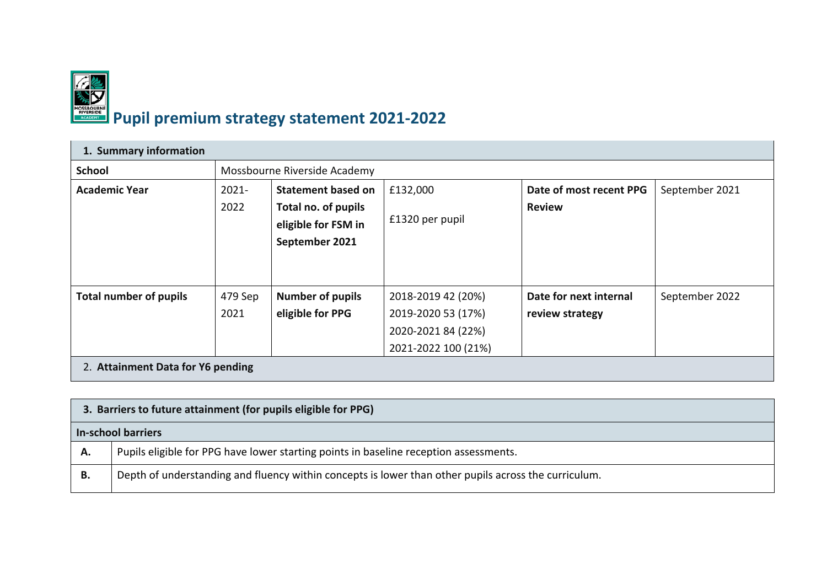

## **Pupil premium strategy statement 2021‐2022**

| 1. Summary information            |                  |                                                                                           |                                                                                       |                                           |                |  |  |
|-----------------------------------|------------------|-------------------------------------------------------------------------------------------|---------------------------------------------------------------------------------------|-------------------------------------------|----------------|--|--|
| <b>School</b>                     |                  | Mossbourne Riverside Academy                                                              |                                                                                       |                                           |                |  |  |
| <b>Academic Year</b>              | $2021 -$<br>2022 | <b>Statement based on</b><br>Total no. of pupils<br>eligible for FSM in<br>September 2021 | £132,000<br>£1320 per pupil                                                           | Date of most recent PPG<br><b>Review</b>  | September 2021 |  |  |
| <b>Total number of pupils</b>     | 479 Sep<br>2021  | <b>Number of pupils</b><br>eligible for PPG                                               | 2018-2019 42 (20%)<br>2019-2020 53 (17%)<br>2020-2021 84 (22%)<br>2021-2022 100 (21%) | Date for next internal<br>review strategy | September 2022 |  |  |
| 2. Attainment Data for Y6 pending |                  |                                                                                           |                                                                                       |                                           |                |  |  |

|    | 3. Barriers to future attainment (for pupils eligible for PPG)                                       |  |  |  |
|----|------------------------------------------------------------------------------------------------------|--|--|--|
|    | <b>In-school barriers</b>                                                                            |  |  |  |
| Α. | Pupils eligible for PPG have lower starting points in baseline reception assessments.                |  |  |  |
| В. | Depth of understanding and fluency within concepts is lower than other pupils across the curriculum. |  |  |  |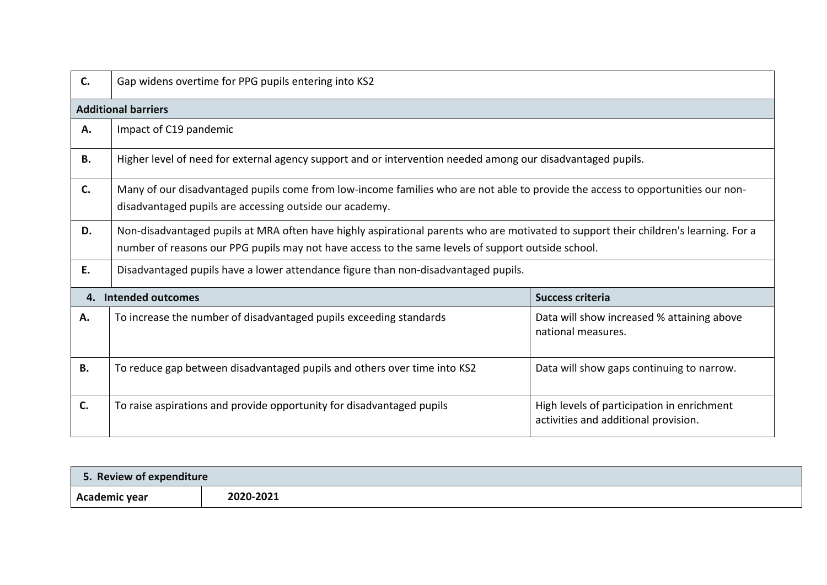| $\mathsf{C}$ . | Gap widens overtime for PPG pupils entering into KS2                                                                                                                                                                                       |                                                                                    |  |  |  |  |  |
|----------------|--------------------------------------------------------------------------------------------------------------------------------------------------------------------------------------------------------------------------------------------|------------------------------------------------------------------------------------|--|--|--|--|--|
|                | <b>Additional barriers</b>                                                                                                                                                                                                                 |                                                                                    |  |  |  |  |  |
| А.             | Impact of C19 pandemic                                                                                                                                                                                                                     |                                                                                    |  |  |  |  |  |
| В.             | Higher level of need for external agency support and or intervention needed among our disadvantaged pupils.                                                                                                                                |                                                                                    |  |  |  |  |  |
| C.             | Many of our disadvantaged pupils come from low-income families who are not able to provide the access to opportunities our non-<br>disadvantaged pupils are accessing outside our academy.                                                 |                                                                                    |  |  |  |  |  |
| D.             | Non-disadvantaged pupils at MRA often have highly aspirational parents who are motivated to support their children's learning. For a<br>number of reasons our PPG pupils may not have access to the same levels of support outside school. |                                                                                    |  |  |  |  |  |
| E.             | Disadvantaged pupils have a lower attendance figure than non-disadvantaged pupils.                                                                                                                                                         |                                                                                    |  |  |  |  |  |
| 4.             | Intended outcomes                                                                                                                                                                                                                          | <b>Success criteria</b>                                                            |  |  |  |  |  |
| Α.             | To increase the number of disadvantaged pupils exceeding standards                                                                                                                                                                         | Data will show increased % attaining above<br>national measures.                   |  |  |  |  |  |
| <b>B.</b>      | To reduce gap between disadvantaged pupils and others over time into KS2                                                                                                                                                                   | Data will show gaps continuing to narrow.                                          |  |  |  |  |  |
| C.             | To raise aspirations and provide opportunity for disadvantaged pupils                                                                                                                                                                      | High levels of participation in enrichment<br>activities and additional provision. |  |  |  |  |  |

| 5. Review of expenditure |           |
|--------------------------|-----------|
| Academic year            | 2020-2021 |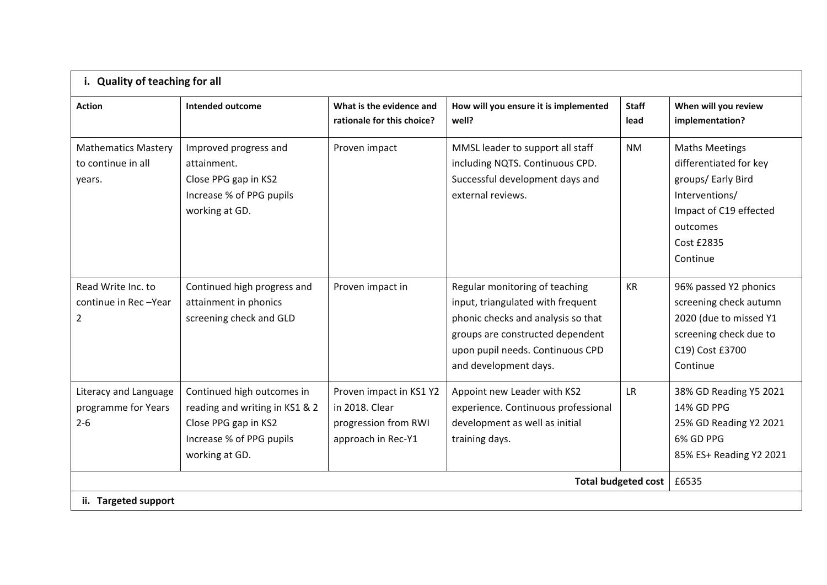| i. Quality of teaching for all                               |                                                                                                                                    |                                                                                         |                                                                                                                                                                                                            |                      |                                                                                                                                                         |  |  |
|--------------------------------------------------------------|------------------------------------------------------------------------------------------------------------------------------------|-----------------------------------------------------------------------------------------|------------------------------------------------------------------------------------------------------------------------------------------------------------------------------------------------------------|----------------------|---------------------------------------------------------------------------------------------------------------------------------------------------------|--|--|
| <b>Action</b>                                                | <b>Intended outcome</b>                                                                                                            | What is the evidence and<br>rationale for this choice?                                  | How will you ensure it is implemented<br>well?                                                                                                                                                             | <b>Staff</b><br>lead | When will you review<br>implementation?                                                                                                                 |  |  |
| <b>Mathematics Mastery</b><br>to continue in all<br>years.   | Improved progress and<br>attainment.<br>Close PPG gap in KS2<br>Increase % of PPG pupils<br>working at GD.                         | Proven impact                                                                           | MMSL leader to support all staff<br>including NQTS. Continuous CPD.<br>Successful development days and<br>external reviews.                                                                                | <b>NM</b>            | <b>Maths Meetings</b><br>differentiated for key<br>groups/ Early Bird<br>Interventions/<br>Impact of C19 effected<br>outcomes<br>Cost £2835<br>Continue |  |  |
| Read Write Inc. to<br>continue in Rec-Year<br>$\overline{2}$ | Continued high progress and<br>attainment in phonics<br>screening check and GLD                                                    | Proven impact in                                                                        | Regular monitoring of teaching<br>input, triangulated with frequent<br>phonic checks and analysis so that<br>groups are constructed dependent<br>upon pupil needs. Continuous CPD<br>and development days. | KR                   | 96% passed Y2 phonics<br>screening check autumn<br>2020 (due to missed Y1<br>screening check due to<br>C19) Cost £3700<br>Continue                      |  |  |
| Literacy and Language<br>programme for Years<br>$2 - 6$      | Continued high outcomes in<br>reading and writing in KS1 & 2<br>Close PPG gap in KS2<br>Increase % of PPG pupils<br>working at GD. | Proven impact in KS1 Y2<br>in 2018. Clear<br>progression from RWI<br>approach in Rec-Y1 | Appoint new Leader with KS2<br>experience. Continuous professional<br>development as well as initial<br>training days.                                                                                     | <b>LR</b>            | 38% GD Reading Y5 2021<br>14% GD PPG<br>25% GD Reading Y2 2021<br>6% GD PPG<br>85% ES+ Reading Y2 2021                                                  |  |  |
| <b>Total budgeted cost</b>                                   |                                                                                                                                    |                                                                                         |                                                                                                                                                                                                            |                      | £6535                                                                                                                                                   |  |  |
| ii. Targeted support                                         |                                                                                                                                    |                                                                                         |                                                                                                                                                                                                            |                      |                                                                                                                                                         |  |  |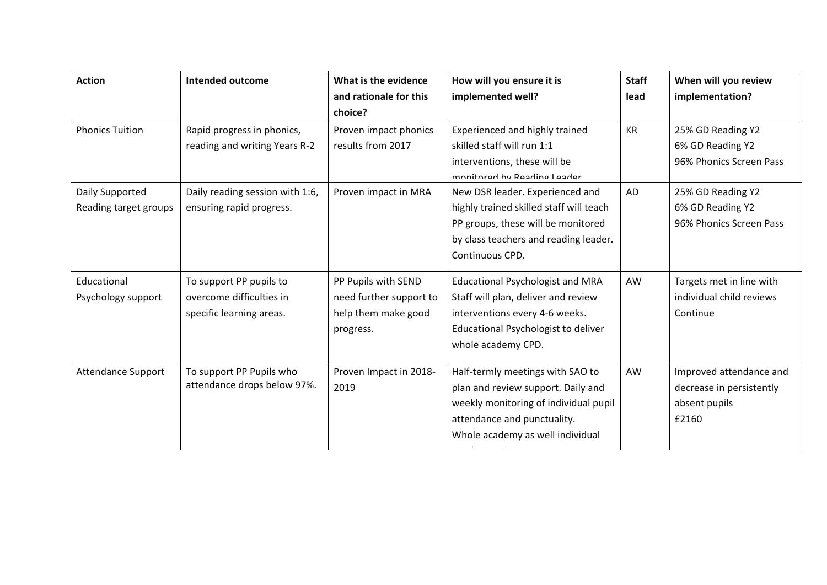| <b>Action</b>             | <b>Intended outcome</b>         | What is the evidence    | How will you ensure it is               | <b>Staff</b> | When will you review     |
|---------------------------|---------------------------------|-------------------------|-----------------------------------------|--------------|--------------------------|
|                           |                                 | and rationale for this  | implemented well?                       | lead         | implementation?          |
|                           |                                 | choice?                 |                                         |              |                          |
| <b>Phonics Tuition</b>    | Rapid progress in phonics,      | Proven impact phonics   | Experienced and highly trained          | <b>KR</b>    | 25% GD Reading Y2        |
|                           | reading and writing Years R-2   | results from 2017       | skilled staff will run 1:1              |              | 6% GD Reading Y2         |
|                           |                                 |                         | interventions, these will be            |              | 96% Phonics Screen Pass  |
|                           |                                 |                         | monitored by Reading Leader             |              |                          |
| Daily Supported           | Daily reading session with 1:6, | Proven impact in MRA    | New DSR leader. Experienced and         | AD           | 25% GD Reading Y2        |
| Reading target groups     | ensuring rapid progress.        |                         | highly trained skilled staff will teach |              | 6% GD Reading Y2         |
|                           |                                 |                         | PP groups, these will be monitored      |              | 96% Phonics Screen Pass  |
|                           |                                 |                         | by class teachers and reading leader.   |              |                          |
|                           |                                 |                         | Continuous CPD.                         |              |                          |
| Educational               | To support PP pupils to         | PP Pupils with SEND     | <b>Educational Psychologist and MRA</b> | AW           | Targets met in line with |
| Psychology support        | overcome difficulties in        | need further support to | Staff will plan, deliver and review     |              | individual child reviews |
|                           | specific learning areas.        | help them make good     | interventions every 4-6 weeks.          |              | Continue                 |
|                           |                                 | progress.               | Educational Psychologist to deliver     |              |                          |
|                           |                                 |                         | whole academy CPD.                      |              |                          |
| <b>Attendance Support</b> | To support PP Pupils who        | Proven Impact in 2018-  | Half-termly meetings with SAO to        | AW           | Improved attendance and  |
|                           | attendance drops below 97%.     | 2019                    | plan and review support. Daily and      |              | decrease in persistently |
|                           |                                 |                         | weekly monitoring of individual pupil   |              | absent pupils            |
|                           |                                 |                         | attendance and punctuality.             |              | £2160                    |
|                           |                                 |                         | Whole academy as well individual        |              |                          |
|                           |                                 |                         |                                         |              |                          |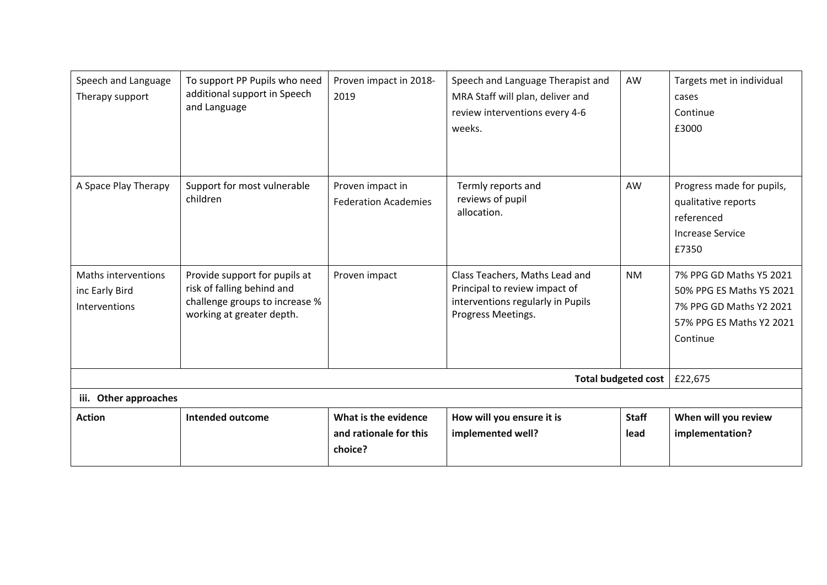| Speech and Language<br>Therapy support                 | To support PP Pupils who need<br>additional support in Speech<br>and Language                                              | Proven impact in 2018-<br>2019                            | Speech and Language Therapist and<br>MRA Staff will plan, deliver and<br>review interventions every 4-6<br>weeks.          | AW                   | Targets met in individual<br>cases<br>Continue<br>£3000                                                                |
|--------------------------------------------------------|----------------------------------------------------------------------------------------------------------------------------|-----------------------------------------------------------|----------------------------------------------------------------------------------------------------------------------------|----------------------|------------------------------------------------------------------------------------------------------------------------|
| A Space Play Therapy                                   | Support for most vulnerable<br>children                                                                                    | Proven impact in<br><b>Federation Academies</b>           | Termly reports and<br>reviews of pupil<br>allocation.                                                                      | AW                   | Progress made for pupils,<br>qualitative reports<br>referenced<br><b>Increase Service</b><br>£7350                     |
| Maths interventions<br>inc Early Bird<br>Interventions | Provide support for pupils at<br>risk of falling behind and<br>challenge groups to increase %<br>working at greater depth. | Proven impact                                             | Class Teachers, Maths Lead and<br>Principal to review impact of<br>interventions regularly in Pupils<br>Progress Meetings. | <b>NM</b>            | 7% PPG GD Maths Y5 2021<br>50% PPG ES Maths Y5 2021<br>7% PPG GD Maths Y2 2021<br>57% PPG ES Maths Y2 2021<br>Continue |
|                                                        | <b>Total budgeted cost</b>                                                                                                 | £22,675                                                   |                                                                                                                            |                      |                                                                                                                        |
| Other approaches<br>iii.                               |                                                                                                                            |                                                           |                                                                                                                            |                      |                                                                                                                        |
| <b>Action</b>                                          | <b>Intended outcome</b>                                                                                                    | What is the evidence<br>and rationale for this<br>choice? | How will you ensure it is<br>implemented well?                                                                             | <b>Staff</b><br>lead | When will you review<br>implementation?                                                                                |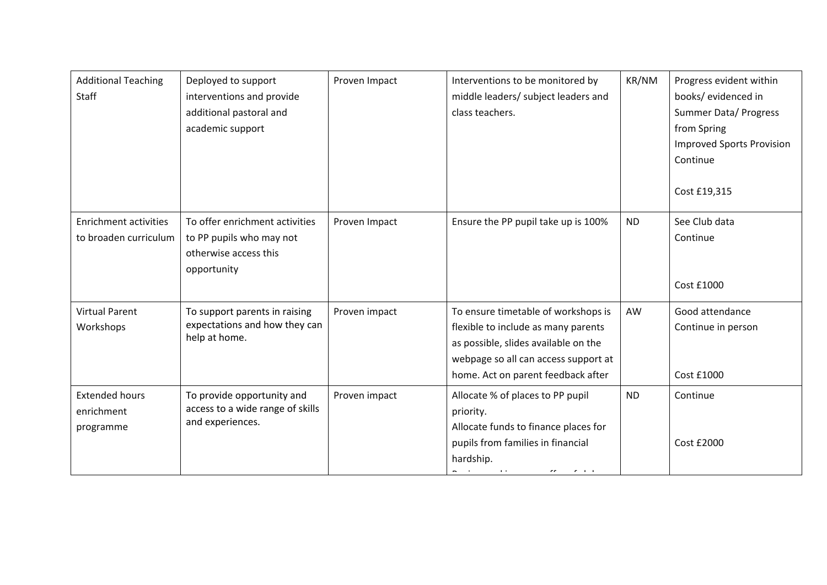| <b>Additional Teaching</b><br>Staff                   | Deployed to support<br>interventions and provide<br>additional pastoral and<br>academic support    | Proven Impact | Interventions to be monitored by<br>middle leaders/ subject leaders and<br>class teachers.                                                                                                                                                   | KR/NM     | Progress evident within<br>books/ evidenced in<br>Summer Data/ Progress<br>from Spring<br><b>Improved Sports Provision</b><br>Continue<br>Cost £19,315 |
|-------------------------------------------------------|----------------------------------------------------------------------------------------------------|---------------|----------------------------------------------------------------------------------------------------------------------------------------------------------------------------------------------------------------------------------------------|-----------|--------------------------------------------------------------------------------------------------------------------------------------------------------|
| <b>Enrichment activities</b><br>to broaden curriculum | To offer enrichment activities<br>to PP pupils who may not<br>otherwise access this<br>opportunity | Proven Impact | Ensure the PP pupil take up is 100%                                                                                                                                                                                                          | <b>ND</b> | See Club data<br>Continue<br>Cost £1000                                                                                                                |
| <b>Virtual Parent</b><br>Workshops                    | To support parents in raising<br>expectations and how they can<br>help at home.                    | Proven impact | To ensure timetable of workshops is<br>flexible to include as many parents<br>as possible, slides available on the<br>webpage so all can access support at<br>home. Act on parent feedback after                                             | AW        | Good attendance<br>Continue in person<br>Cost £1000                                                                                                    |
| <b>Extended hours</b><br>enrichment<br>programme      | To provide opportunity and<br>access to a wide range of skills<br>and experiences.                 | Proven impact | Allocate % of places to PP pupil<br>priority.<br>Allocate funds to finance places for<br>pupils from families in financial<br>hardship.<br><b>All Street Control</b><br>$\sigma\sigma$ , $\sigma$ , $\sigma$ , and $\sigma$<br>$\sim$ $\sim$ | <b>ND</b> | Continue<br>Cost £2000                                                                                                                                 |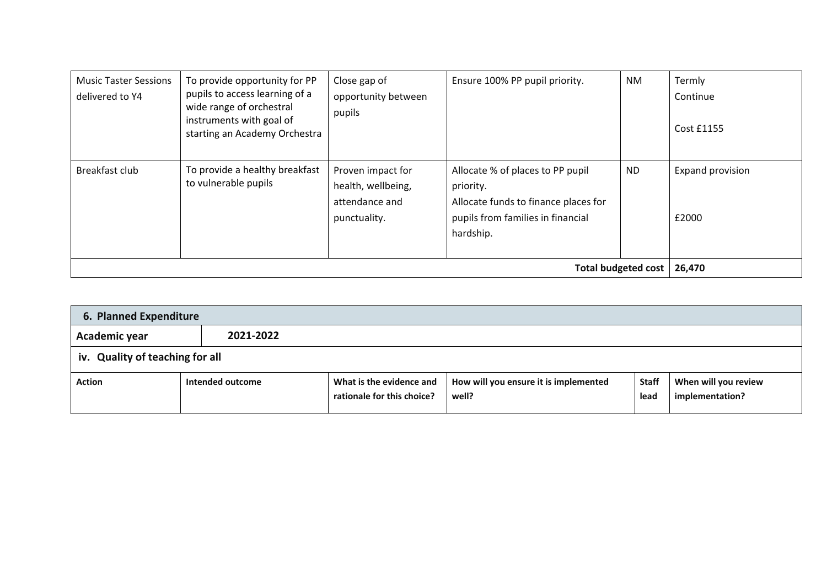| <b>Music Taster Sessions</b><br>delivered to Y4 | To provide opportunity for PP<br>pupils to access learning of a<br>wide range of orchestral<br>instruments with goal of<br>starting an Academy Orchestra | Close gap of<br>opportunity between<br>pupils                             | Ensure 100% PP pupil priority.                                                                                                          | <b>NM</b> | Termly<br>Continue<br>Cost £1155 |
|-------------------------------------------------|----------------------------------------------------------------------------------------------------------------------------------------------------------|---------------------------------------------------------------------------|-----------------------------------------------------------------------------------------------------------------------------------------|-----------|----------------------------------|
| Breakfast club                                  | To provide a healthy breakfast<br>to vulnerable pupils                                                                                                   | Proven impact for<br>health, wellbeing,<br>attendance and<br>punctuality. | Allocate % of places to PP pupil<br>priority.<br>Allocate funds to finance places for<br>pupils from families in financial<br>hardship. | <b>ND</b> | Expand provision<br>£2000        |
|                                                 | <b>Total budgeted cost</b>                                                                                                                               | 26,470                                                                    |                                                                                                                                         |           |                                  |

| 6. Planned Expenditure          |                  |                                                        |                                                |                      |                                         |  |  |
|---------------------------------|------------------|--------------------------------------------------------|------------------------------------------------|----------------------|-----------------------------------------|--|--|
| Academic year                   | 2021-2022        |                                                        |                                                |                      |                                         |  |  |
| iv. Quality of teaching for all |                  |                                                        |                                                |                      |                                         |  |  |
| <b>Action</b>                   | Intended outcome | What is the evidence and<br>rationale for this choice? | How will you ensure it is implemented<br>well? | <b>Staff</b><br>lead | When will you review<br>implementation? |  |  |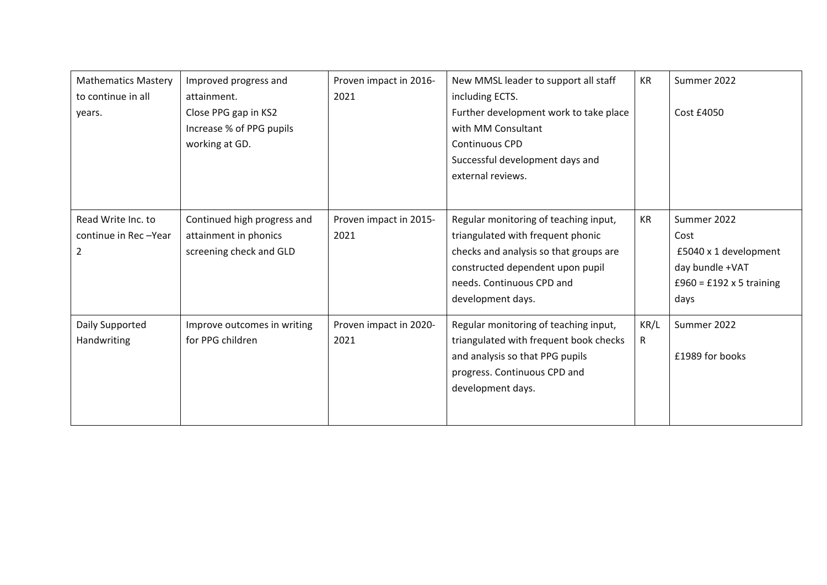| <b>Mathematics Mastery</b>                      | Improved progress and                                                             | Proven impact in 2016-         | New MMSL leader to support all staff                                                                                                                                                                       | <b>KR</b> | Summer 2022                                                                                                |
|-------------------------------------------------|-----------------------------------------------------------------------------------|--------------------------------|------------------------------------------------------------------------------------------------------------------------------------------------------------------------------------------------------------|-----------|------------------------------------------------------------------------------------------------------------|
| to continue in all<br>years.                    | attainment.<br>Close PPG gap in KS2<br>Increase % of PPG pupils<br>working at GD. | 2021                           | including ECTS.<br>Further development work to take place<br>with MM Consultant<br>Continuous CPD<br>Successful development days and<br>external reviews.                                                  |           | Cost £4050                                                                                                 |
| Read Write Inc. to<br>continue in Rec-Year<br>2 | Continued high progress and<br>attainment in phonics<br>screening check and GLD   | Proven impact in 2015-<br>2021 | Regular monitoring of teaching input,<br>triangulated with frequent phonic<br>checks and analysis so that groups are<br>constructed dependent upon pupil<br>needs. Continuous CPD and<br>development days. | KR        | Summer 2022<br>Cost<br>£5040 x 1 development<br>day bundle +VAT<br>$£960 = £192 \times 5$ training<br>days |
| Daily Supported<br>Handwriting                  | Improve outcomes in writing<br>for PPG children                                   | Proven impact in 2020-<br>2021 | Regular monitoring of teaching input,<br>triangulated with frequent book checks<br>and analysis so that PPG pupils<br>progress. Continuous CPD and<br>development days.                                    | KR/L<br>R | Summer 2022<br>£1989 for books                                                                             |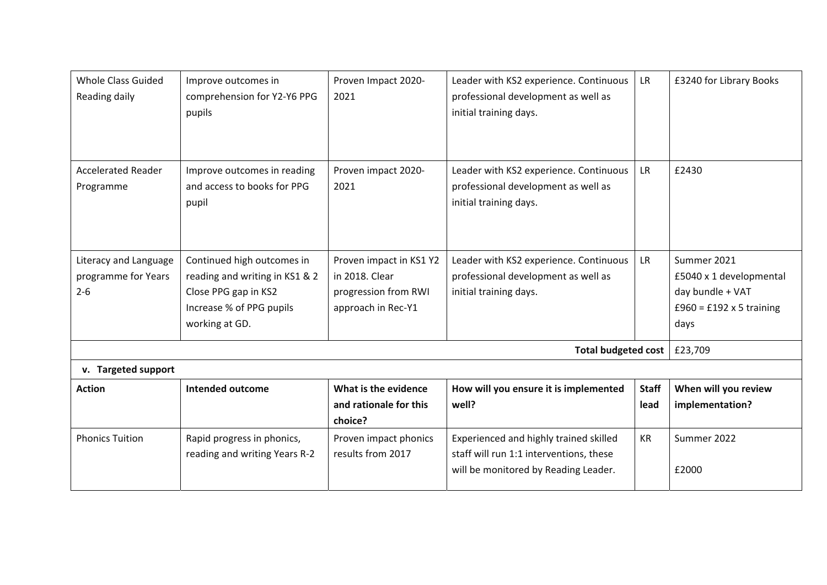| <b>Whole Class Guided</b><br>Reading daily              | Improve outcomes in<br>comprehension for Y2-Y6 PPG<br>pupils                                                                       | Proven Impact 2020-<br>2021                                                             | Leader with KS2 experience. Continuous<br>professional development as well as<br>initial training days.                   | <b>LR</b>            | £3240 for Library Books                                                                               |
|---------------------------------------------------------|------------------------------------------------------------------------------------------------------------------------------------|-----------------------------------------------------------------------------------------|---------------------------------------------------------------------------------------------------------------------------|----------------------|-------------------------------------------------------------------------------------------------------|
| <b>Accelerated Reader</b><br>Programme                  | Improve outcomes in reading<br>and access to books for PPG<br>pupil                                                                | Proven impact 2020-<br>2021                                                             | Leader with KS2 experience. Continuous<br>professional development as well as<br>initial training days.                   | <b>LR</b>            | £2430                                                                                                 |
| Literacy and Language<br>programme for Years<br>$2 - 6$ | Continued high outcomes in<br>reading and writing in KS1 & 2<br>Close PPG gap in KS2<br>Increase % of PPG pupils<br>working at GD. | Proven impact in KS1 Y2<br>in 2018. Clear<br>progression from RWI<br>approach in Rec-Y1 | Leader with KS2 experience. Continuous<br>professional development as well as<br>initial training days.                   | <b>LR</b>            | Summer 2021<br>£5040 x 1 developmental<br>day bundle + VAT<br>$£960 = £192 \times 5$ training<br>days |
|                                                         |                                                                                                                                    |                                                                                         | <b>Total budgeted cost</b>                                                                                                |                      | £23,709                                                                                               |
| v. Targeted support                                     |                                                                                                                                    |                                                                                         |                                                                                                                           |                      |                                                                                                       |
| <b>Action</b>                                           | <b>Intended outcome</b>                                                                                                            | What is the evidence<br>and rationale for this<br>choice?                               | How will you ensure it is implemented<br>well?                                                                            | <b>Staff</b><br>lead | When will you review<br>implementation?                                                               |
| <b>Phonics Tuition</b>                                  | Rapid progress in phonics,<br>reading and writing Years R-2                                                                        | Proven impact phonics<br>results from 2017                                              | Experienced and highly trained skilled<br>staff will run 1:1 interventions, these<br>will be monitored by Reading Leader. | <b>KR</b>            | Summer 2022<br>£2000                                                                                  |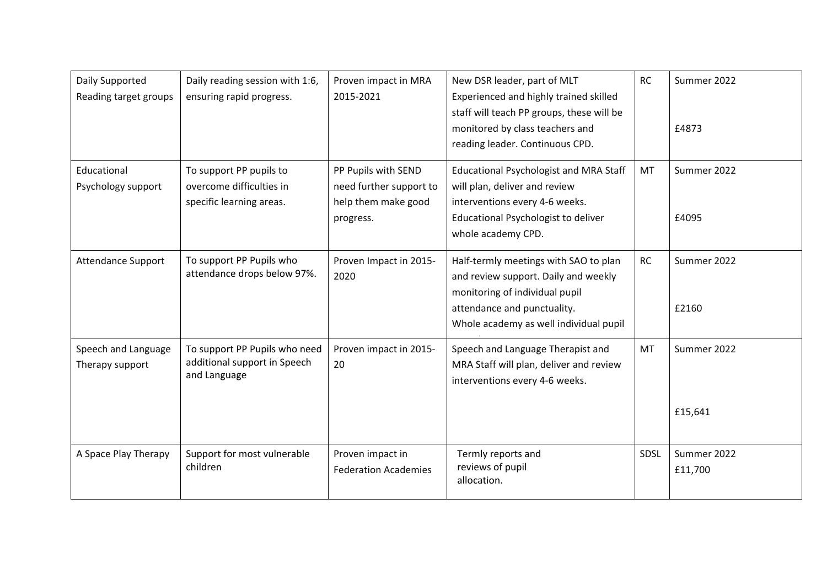| Daily Supported<br>Reading target groups | Daily reading session with 1:6,<br>ensuring rapid progress.                     | Proven impact in MRA<br>2015-2021                                                  | New DSR leader, part of MLT<br>Experienced and highly trained skilled<br>staff will teach PP groups, these will be<br>monitored by class teachers and<br>reading leader. Continuous CPD. | <b>RC</b> | Summer 2022<br>£4873   |
|------------------------------------------|---------------------------------------------------------------------------------|------------------------------------------------------------------------------------|------------------------------------------------------------------------------------------------------------------------------------------------------------------------------------------|-----------|------------------------|
| Educational<br>Psychology support        | To support PP pupils to<br>overcome difficulties in<br>specific learning areas. | PP Pupils with SEND<br>need further support to<br>help them make good<br>progress. | <b>Educational Psychologist and MRA Staff</b><br>will plan, deliver and review<br>interventions every 4-6 weeks.<br>Educational Psychologist to deliver<br>whole academy CPD.            | <b>MT</b> | Summer 2022<br>£4095   |
| <b>Attendance Support</b>                | To support PP Pupils who<br>attendance drops below 97%.                         | Proven Impact in 2015-<br>2020                                                     | Half-termly meetings with SAO to plan<br>and review support. Daily and weekly<br>monitoring of individual pupil<br>attendance and punctuality.<br>Whole academy as well individual pupil | <b>RC</b> | Summer 2022<br>£2160   |
| Speech and Language<br>Therapy support   | To support PP Pupils who need<br>additional support in Speech<br>and Language   | Proven impact in 2015-<br>20                                                       | Speech and Language Therapist and<br>MRA Staff will plan, deliver and review<br>interventions every 4-6 weeks.                                                                           | <b>MT</b> | Summer 2022<br>£15,641 |
| A Space Play Therapy                     | Support for most vulnerable<br>children                                         | Proven impact in<br><b>Federation Academies</b>                                    | Termly reports and<br>reviews of pupil<br>allocation.                                                                                                                                    | SDSL      | Summer 2022<br>£11,700 |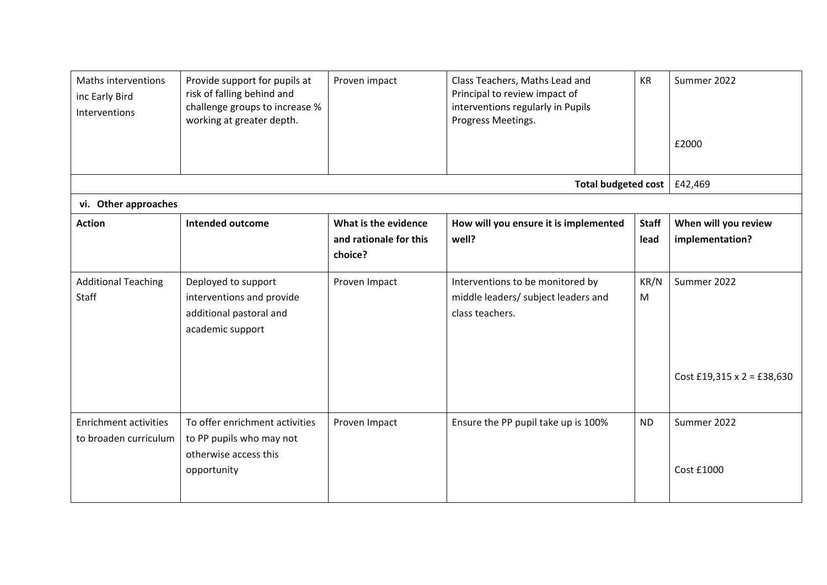| Maths interventions<br>inc Early Bird<br>Interventions | Provide support for pupils at<br>risk of falling behind and<br>challenge groups to increase %<br>working at greater depth. | Proven impact                                             | Class Teachers, Maths Lead and<br>Principal to review impact of<br>interventions regularly in Pupils<br>Progress Meetings. | <b>KR</b>            | Summer 2022<br>£2000                      |  |  |
|--------------------------------------------------------|----------------------------------------------------------------------------------------------------------------------------|-----------------------------------------------------------|----------------------------------------------------------------------------------------------------------------------------|----------------------|-------------------------------------------|--|--|
|                                                        | Total budgeted cost                                                                                                        | £42,469                                                   |                                                                                                                            |                      |                                           |  |  |
| vi. Other approaches                                   |                                                                                                                            |                                                           |                                                                                                                            |                      |                                           |  |  |
| <b>Action</b>                                          | <b>Intended outcome</b>                                                                                                    | What is the evidence<br>and rationale for this<br>choice? | How will you ensure it is implemented<br>well?                                                                             | <b>Staff</b><br>lead | When will you review<br>implementation?   |  |  |
| <b>Additional Teaching</b><br>Staff                    | Deployed to support<br>interventions and provide<br>additional pastoral and<br>academic support                            | Proven Impact                                             | Interventions to be monitored by<br>middle leaders/ subject leaders and<br>class teachers.                                 | KR/N<br>M            | Summer 2022<br>Cost £19,315 x 2 = £38,630 |  |  |
| <b>Enrichment activities</b><br>to broaden curriculum  | To offer enrichment activities<br>to PP pupils who may not<br>otherwise access this<br>opportunity                         | Proven Impact                                             | Ensure the PP pupil take up is 100%                                                                                        | <b>ND</b>            | Summer 2022<br>Cost £1000                 |  |  |